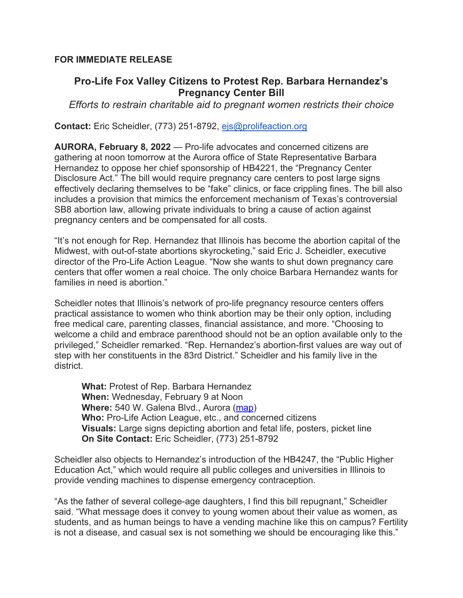## **FOR IMMEDIATE RELEASE**

## **Pro-Life Fox Valley Citizens to Protest Rep. Barbara Hernandez's Pregnancy Center Bill**

*Efforts to restrain charitable aid to pregnant women restricts their choice*

**Contact:** Eric Scheidler, (773) 251-8792, ejs@prolifeaction.org

**AURORA, February 8, 2022** — Pro-life advocates and concerned citizens are gathering at noon tomorrow at the Aurora office of State Representative Barbara Hernandez to oppose her chief sponsorship of HB4221, the "Pregnancy Center Disclosure Act." The bill would require pregnancy care centers to post large signs effectively declaring themselves to be "fake" clinics, or face crippling fines. The bill also includes a provision that mimics the enforcement mechanism of Texas's controversial SB8 abortion law, allowing private individuals to bring a cause of action against pregnancy centers and be compensated for all costs.

"It's not enough for Rep. Hernandez that Illinois has become the abortion capital of the Midwest, with out-of-state abortions skyrocketing," said Eric J. Scheidler, executive director of the Pro-Life Action League. "Now she wants to shut down pregnancy care centers that offer women a real choice. The only choice Barbara Hernandez wants for families in need is abortion."

Scheidler notes that Illinois's network of pro-life pregnancy resource centers offers practical assistance to women who think abortion may be their only option, including free medical care, parenting classes, financial assistance, and more. "Choosing to welcome a child and embrace parenthood should not be an option available only to the privileged," Scheidler remarked. "Rep. Hernandez's abortion-first values are way out of step with her constituents in the 83rd District." Scheidler and his family live in the district.

**What:** Protest of Rep. Barbara Hernandez **When:** Wednesday, February 9 at Noon **Where:** 540 W. Galena Blvd., Aurora (map) **Who:** Pro-Life Action League, etc., and concerned citizens **Visuals:** Large signs depicting abortion and fetal life, posters, picket line **On Site Contact:** Eric Scheidler, (773) 251-8792

Scheidler also objects to Hernandez's introduction of the HB4247, the "Public Higher Education Act," which would require all public colleges and universities in Illinois to provide vending machines to dispense emergency contraception.

"As the father of several college-age daughters, I find this bill repugnant," Scheidler said. "What message does it convey to young women about their value as women, as students, and as human beings to have a vending machine like this on campus? Fertility is not a disease, and casual sex is not something we should be encouraging like this."